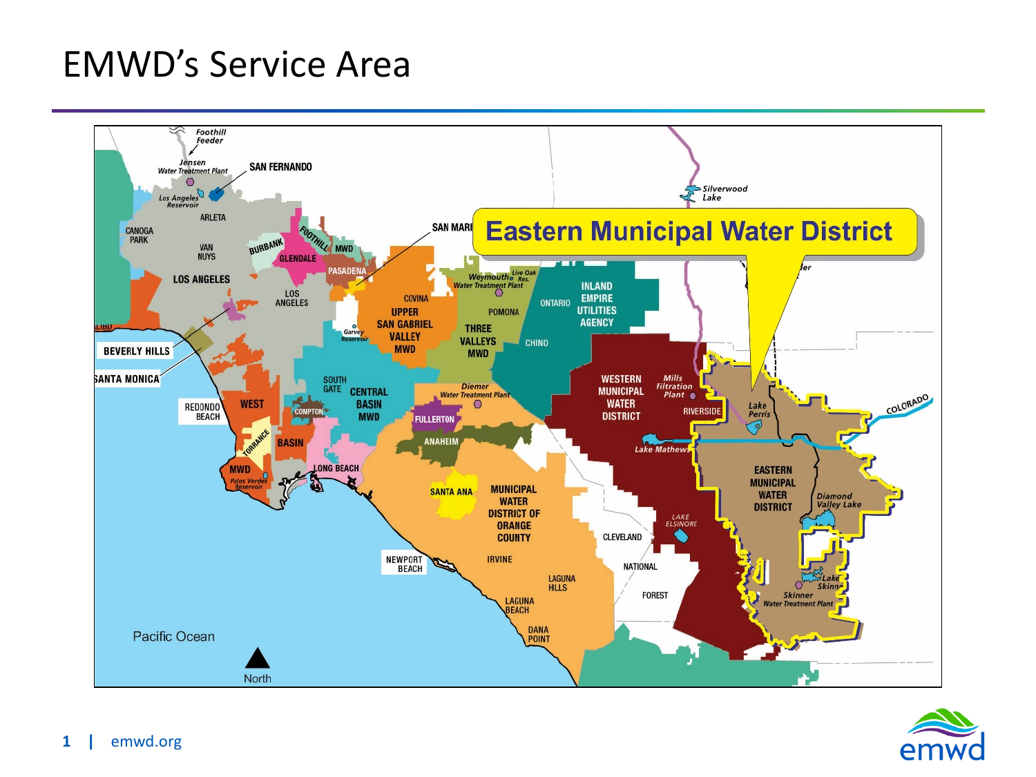## EMWD's Service Area



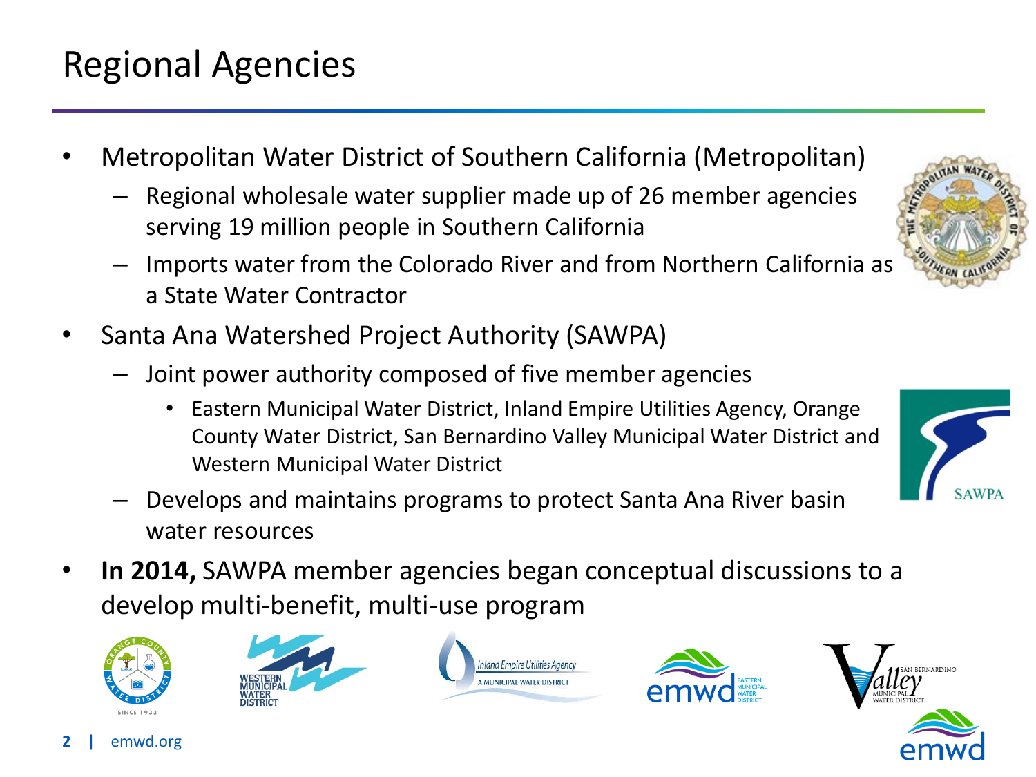## Regional Agencies

- Metropolitan Water District of Southern California (Metropolitan)
	- Regional wholesale water supplier made up of 26 member agencies serving 19 million people in Southern California
	- Imports water from the Colorado River and from Northern California as a State Water Contractor
- Santa Ana Watershed Project Authority (SAWPA)
	- Joint power authority composed of five member agencies
		- Eastern Municipal Water District, Inland Empire Utilities Agency, Orange County Water District, San Bernardino Valley Municipal Water District and Western Municipal Water District
	- Develops and maintains programs to protect Santa Ana River basin water resources
- **In 2014,** SAWPA member agencies began conceptual discussions to a develop multi-benefit, multi-use program













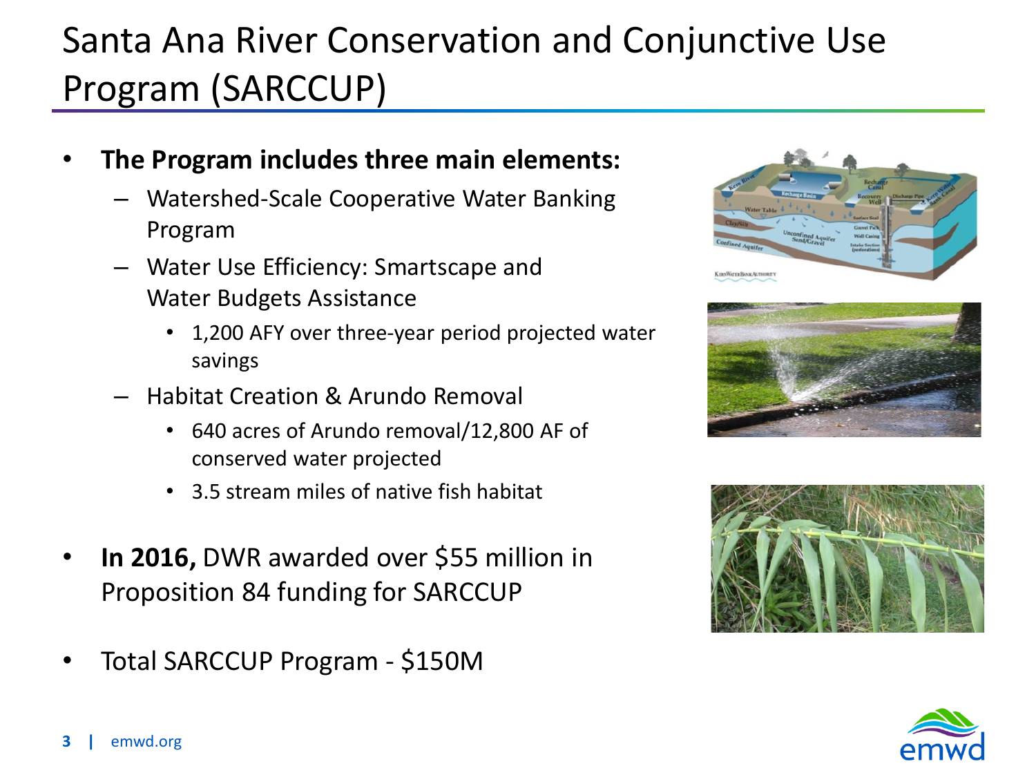## Santa Ana River Conservation and Conjunctive Use Program (SARCCUP)

- **The Program includes three main elements:**
	- Watershed-Scale Cooperative Water Banking Program
	- Water Use Efficiency: Smartscape and Water Budgets Assistance
		- 1,200 AFY over three-year period projected water savings
	- Habitat Creation & Arundo Removal
		- 640 acres of Arundo removal/12,800 AF of conserved water projected
		- 3.5 stream miles of native fish habitat
- **In 2016,** DWR awarded over \$55 million in Proposition 84 funding for SARCCUP
- Total SARCCUP Program \$150M







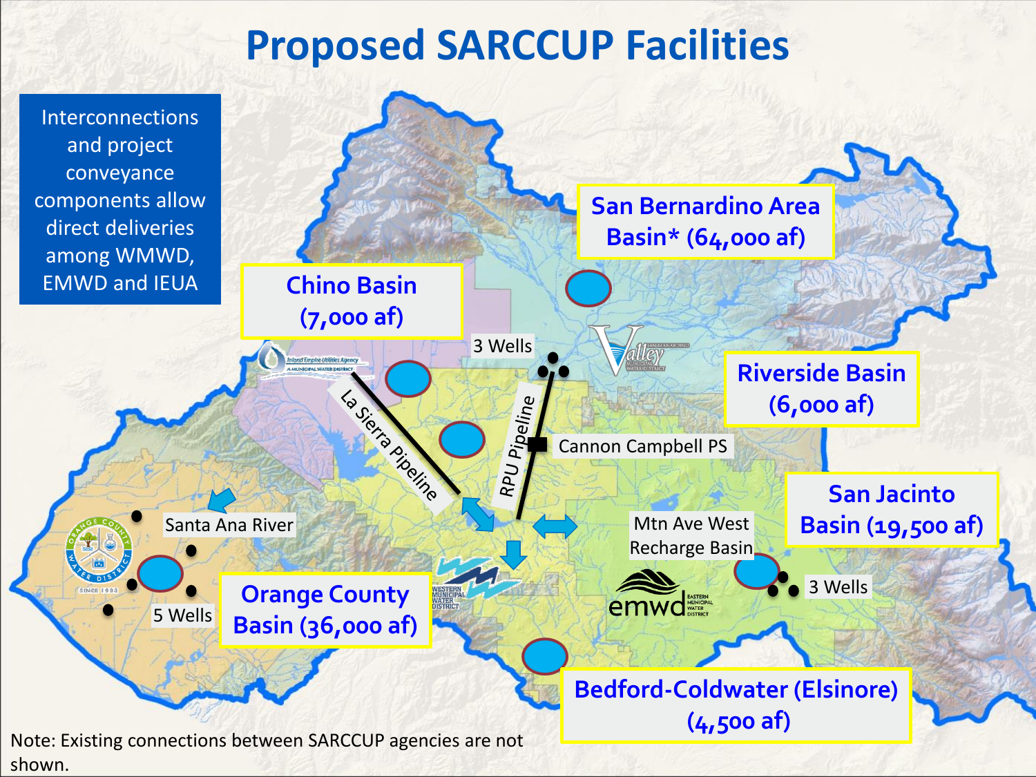## **Proposed SARCCUP Facilities**